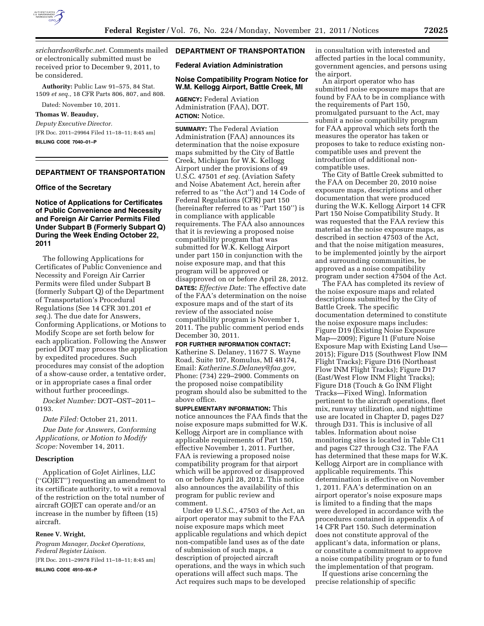

*[srichardson@srbc.net.](mailto:srichardson@srbc.net)* Comments mailed or electronically submitted must be received prior to December 9, 2011, to be considered.

**Authority:** Public Law 91–575, 84 Stat. 1509 *et seq.,* 18 CFR Parts 806, 807, and 808.

Dated: November 10, 2011.

### **Thomas W. Beauduy,**

*Deputy Executive Director.*  [FR Doc. 2011–29964 Filed 11–18–11; 8:45 am] **BILLING CODE 7040–01–P** 

## **DEPARTMENT OF TRANSPORTATION**

#### **Office of the Secretary**

## **Notice of Applications for Certificates of Public Convenience and Necessity and Foreign Air Carrier Permits Filed Under Subpart B (Formerly Subpart Q) During the Week Ending October 22, 2011**

The following Applications for Certificates of Public Convenience and Necessity and Foreign Air Carrier Permits were filed under Subpart B (formerly Subpart Q) of the Department of Transportation's Procedural Regulations (See 14 CFR 301.201 *et seq.*). The due date for Answers, Conforming Applications, or Motions to Modify Scope are set forth below for each application. Following the Answer period DOT may process the application by expedited procedures. Such procedures may consist of the adoption of a show-cause order, a tentative order, or in appropriate cases a final order without further proceedings.

*Docket Number:* DOT–OST–2011– 0193.

*Date Filed:* October 21, 2011.

*Due Date for Answers, Conforming Applications, or Motion to Modify Scope:* November 14, 2011.

#### **Description**

Application of GoJet Airlines, LLC (''GOJET'') requesting an amendment to its certificate authority, to wit a removal of the restriction on the total number of aircraft GOJET can operate and/or an increase in the number by fifteen (15) aircraft.

## **Renee V. Wright,**

*Program Manager, Docket Operations, Federal Register Liaison.*  [FR Doc. 2011–29978 Filed 11–18–11; 8:45 am] **BILLING CODE 4910–9X–P** 

## **DEPARTMENT OF TRANSPORTATION**

# **Federal Aviation Administration**

### **Noise Compatibility Program Notice for W.M. Kellogg Airport, Battle Creek, MI**

**AGENCY:** Federal Aviation Administration (FAA), DOT. **ACTION:** Notice.

**SUMMARY:** The Federal Aviation Administration (FAA) announces its determination that the noise exposure maps submitted by the City of Battle Creek, Michigan for W.K. Kellogg Airport under the provisions of 49 U.S.C. 47501 *et seq.* (Aviation Safety and Noise Abatement Act, herein after referred to as ''the Act'') and 14 Code of Federal Regulations (CFR) part 150 (hereinafter referred to as ''Part 150'') is in compliance with applicable requirements. The FAA also announces that it is reviewing a proposed noise compatibility program that was submitted for W.K. Kellogg Airport under part 150 in conjunction with the noise exposure map, and that this program will be approved or disapproved on or before April 28, 2012. **DATES:** *Effective Date:* The effective date of the FAA's determination on the noise exposure maps and of the start of its review of the associated noise compatibility program is November 1, 2011. The public comment period ends December 30, 2011.

**FOR FURTHER INFORMATION CONTACT:**  Katherine S. Delaney, 11677 S. Wayne Road, Suite 107, Romulus, MI 48174, Email: *[Katherine.S.Delaney@faa.gov,](mailto:Katherine.S.Delaney@faa.gov)*  Phone: (734) 229–2900. Comments on the proposed noise compatibility program should also be submitted to the above office.

**SUPPLEMENTARY INFORMATION:** This notice announces the FAA finds that the noise exposure maps submitted for W.K. Kellogg Airport are in compliance with applicable requirements of Part 150, effective November 1, 2011. Further, FAA is reviewing a proposed noise compatibility program for that airport which will be approved or disapproved on or before April 28, 2012. This notice also announces the availability of this program for public review and comment.

Under 49 U.S.C., 47503 of the Act, an airport operator may submit to the FAA noise exposure maps which meet applicable regulations and which depict non-compatible land uses as of the date of submission of such maps, a description of projected aircraft operations, and the ways in which such operations will affect such maps. The Act requires such maps to be developed

in consultation with interested and affected parties in the local community, government agencies, and persons using the airport.

An airport operator who has submitted noise exposure maps that are found by FAA to be in compliance with the requirements of Part 150, promulgated pursuant to the Act, may submit a noise compatibility program for FAA approval which sets forth the measures the operator has taken or proposes to take to reduce existing noncompatible uses and prevent the introduction of additional noncompatible uses.

The City of Battle Creek submitted to the FAA on December 20, 2010 noise exposure maps, descriptions and other documentation that were produced during the W.K. Kellogg Airport 14 CFR Part 150 Noise Compatibility Study. It was requested that the FAA review this material as the noise exposure maps, as described in section 47503 of the Act, and that the noise mitigation measures, to be implemented jointly by the airport and surrounding communities, be approved as a noise compatibility program under section 47504 of the Act.

The FAA has completed its review of the noise exposure maps and related descriptions submitted by the City of Battle Creek. The specific documentation determined to constitute the noise exposure maps includes: Figure D19 (Existing Noise Exposure Map—2009); Figure I1 (Future Noise Exposure Map with Existing Land Use— 2015); Figure D15 (Southwest Flow INM Flight Tracks); Figure D16 (Northeast Flow INM Flight Tracks); Figure D17 (East/West Flow INM Flight Tracks); Figure D18 (Touch & Go INM Flight Tracks—Fixed Wing). Information pertinent to the aircraft operations, fleet mix, runway utilization, and nighttime use are located in Chapter D, pages D27 through D31. This is inclusive of all tables. Information about noise monitoring sites is located in Table C11 and pages C27 through C32. The FAA has determined that these maps for W.K. Kellogg Airport are in compliance with applicable requirements. This determination is effective on November 1, 2011. FAA's determination on an airport operator's noise exposure maps is limited to a finding that the maps were developed in accordance with the procedures contained in appendix A of 14 CFR Part 150. Such determination does not constitute approval of the applicant's data, information or plans, or constitute a commitment to approve a noise compatibility program or to fund the implementation of that program.

If questions arise concerning the precise relationship of specific